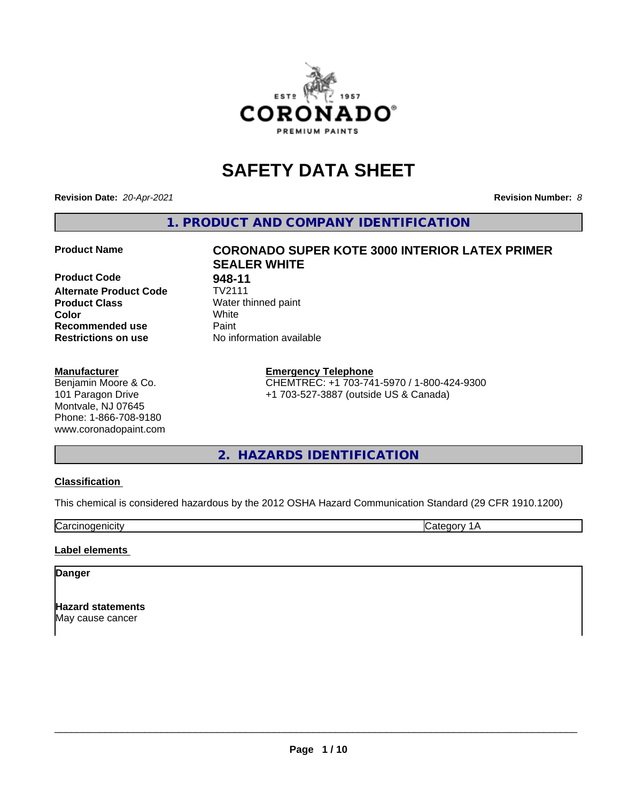

# **SAFETY DATA SHEET**

**Revision Date:** *20-Apr-2021* **Revision Number:** *8*

**1. PRODUCT AND COMPANY IDENTIFICATION**

**Product Code 68-11**<br>**Alternate Product Code** TV2111 **Alternate Product Code Product Class** Water thinned paint<br> **Color** White **Color** White **Recommended use Caint Restrictions on use** No information available

#### **Manufacturer**

Benjamin Moore & Co. 101 Paragon Drive Montvale, NJ 07645 Phone: 1-866-708-9180 www.coronadopaint.com

## **Product Name CORONADO SUPER KOTE 3000 INTERIOR LATEX PRIMER SEALER WHITE**

**Emergency Telephone** CHEMTREC: +1 703-741-5970 / 1-800-424-9300 +1 703-527-3887 (outside US & Canada)

**2. HAZARDS IDENTIFICATION**

#### **Classification**

This chemical is considered hazardous by the 2012 OSHA Hazard Communication Standard (29 CFR 1910.1200)

Carcinogenicity **Category 1A** 

#### **Label elements**

#### **Danger**

**Hazard statements** May cause cancer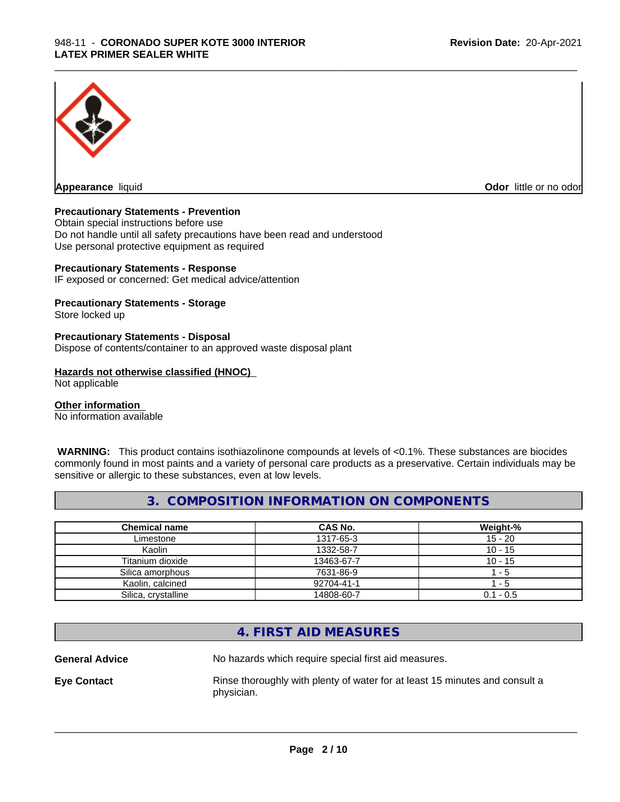

**Appearance** liquid **CODO** *Appearance liquid* **Odor** *CODO CODO* **<b>***CODO CODO CODO CODO CODO* 

#### **Precautionary Statements - Prevention**

Obtain special instructions before use Do not handle until all safety precautions have been read and understood Use personal protective equipment as required

#### **Precautionary Statements - Response**

IF exposed or concerned: Get medical advice/attention

#### **Precautionary Statements - Storage**

Store locked up

#### **Precautionary Statements - Disposal**

Dispose of contents/container to an approved waste disposal plant

#### **Hazards not otherwise classified (HNOC)**

Not applicable

#### **Other information**

No information available

 **WARNING:** This product contains isothiazolinone compounds at levels of <0.1%. These substances are biocides commonly found in most paints and a variety of personal care products as a preservative. Certain individuals may be sensitive or allergic to these substances, even at low levels.

#### **3. COMPOSITION INFORMATION ON COMPONENTS**

| <b>Chemical name</b> | CAS No.    | Weight-%    |
|----------------------|------------|-------------|
| Limestone            | 1317-65-3  | $15 - 20$   |
| Kaolin               | 1332-58-7  | $10 - 15$   |
| Titanium dioxide     | 13463-67-7 | $10 - 15$   |
| Silica amorphous     | 7631-86-9  | - 5         |
| Kaolin, calcined     | 92704-41-1 | - 5         |
| Silica, crystalline  | 14808-60-7 | $0.1 - 0.5$ |

### **4. FIRST AID MEASURES**

**General Advice** No hazards which require special first aid measures.

\_\_\_\_\_\_\_\_\_\_\_\_\_\_\_\_\_\_\_\_\_\_\_\_\_\_\_\_\_\_\_\_\_\_\_\_\_\_\_\_\_\_\_\_\_\_\_\_\_\_\_\_\_\_\_\_\_\_\_\_\_\_\_\_\_\_\_\_\_\_\_\_\_\_\_\_\_\_\_\_\_\_\_\_\_\_\_\_\_\_\_\_\_

**Eye Contact Rinse thoroughly with plenty of water for at least 15 minutes and consult a** physician.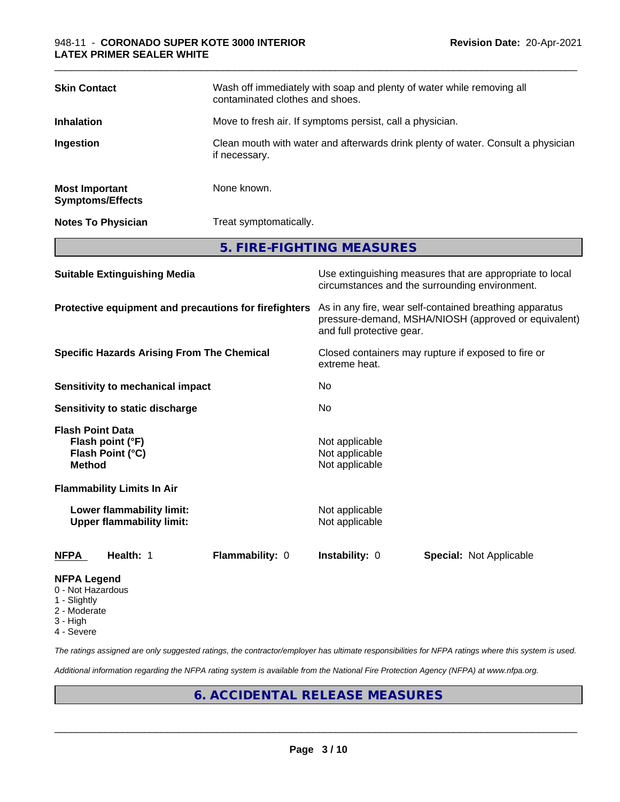| <b>Most Important</b>                                | if necessary.<br>None known. |
|------------------------------------------------------|------------------------------|
| <b>Symptoms/Effects</b><br><b>Notes To Physician</b> | Treat symptomatically.       |
|                                                      | 5. FIRE-FIGHTING MEASURES    |

| <b>Suitable Extinguishing Media</b>                                              | Use extinguishing measures that are appropriate to local<br>circumstances and the surrounding environment.                                   |
|----------------------------------------------------------------------------------|----------------------------------------------------------------------------------------------------------------------------------------------|
| Protective equipment and precautions for firefighters                            | As in any fire, wear self-contained breathing apparatus<br>pressure-demand, MSHA/NIOSH (approved or equivalent)<br>and full protective gear. |
| <b>Specific Hazards Arising From The Chemical</b>                                | Closed containers may rupture if exposed to fire or<br>extreme heat.                                                                         |
| <b>Sensitivity to mechanical impact</b>                                          | No                                                                                                                                           |
| Sensitivity to static discharge                                                  | N <sub>0</sub>                                                                                                                               |
| <b>Flash Point Data</b><br>Flash point (°F)<br>Flash Point (°C)<br><b>Method</b> | Not applicable<br>Not applicable<br>Not applicable                                                                                           |
| <b>Flammability Limits In Air</b>                                                |                                                                                                                                              |
| Lower flammability limit:<br><b>Upper flammability limit:</b>                    | Not applicable<br>Not applicable                                                                                                             |
| Flammability: 0<br><b>NFPA</b><br>Health: 1                                      | <b>Instability: 0</b><br><b>Special: Not Applicable</b>                                                                                      |
| <b>NFPA Legend</b>                                                               |                                                                                                                                              |

- 0 Not Hazardous
- 1 Slightly
- 2 Moderate
- 3 High
- 4 Severe

*The ratings assigned are only suggested ratings, the contractor/employer has ultimate responsibilities for NFPA ratings where this system is used.*

*Additional information regarding the NFPA rating system is available from the National Fire Protection Agency (NFPA) at www.nfpa.org.*

## **6. ACCIDENTAL RELEASE MEASURES**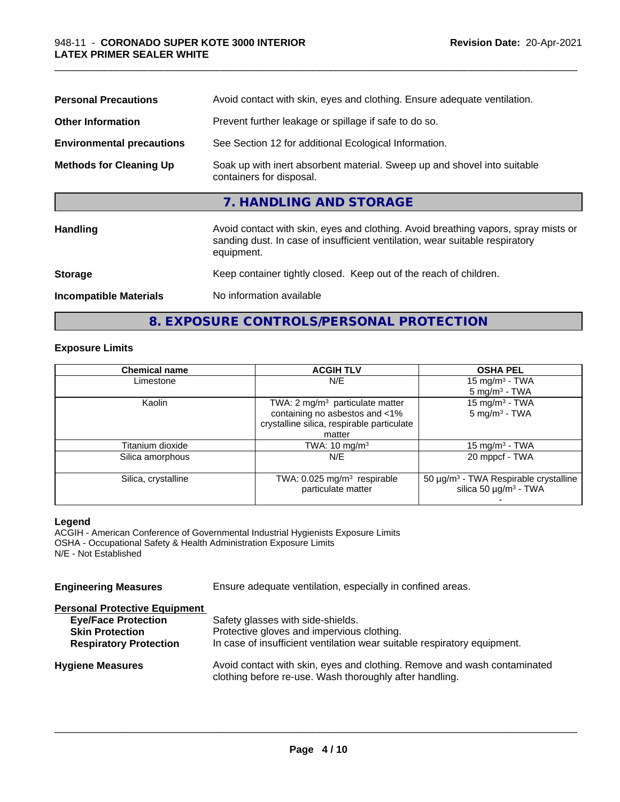| <b>Personal Precautions</b>      | Avoid contact with skin, eyes and clothing. Ensure adequate ventilation.                                                                                                         |
|----------------------------------|----------------------------------------------------------------------------------------------------------------------------------------------------------------------------------|
| <b>Other Information</b>         | Prevent further leakage or spillage if safe to do so.                                                                                                                            |
| <b>Environmental precautions</b> | See Section 12 for additional Ecological Information.                                                                                                                            |
| <b>Methods for Cleaning Up</b>   | Soak up with inert absorbent material. Sweep up and shovel into suitable<br>containers for disposal.                                                                             |
|                                  | 7. HANDLING AND STORAGE                                                                                                                                                          |
| Handling                         | Avoid contact with skin, eyes and clothing. Avoid breathing vapors, spray mists or<br>sanding dust. In case of insufficient ventilation, wear suitable respiratory<br>equipment. |
| <b>Storage</b>                   | Keep container tightly closed. Keep out of the reach of children.                                                                                                                |
| <b>Incompatible Materials</b>    | No information available                                                                                                                                                         |
|                                  |                                                                                                                                                                                  |

## **8. EXPOSURE CONTROLS/PERSONAL PROTECTION**

#### **Exposure Limits**

| <b>Chemical name</b> | <b>ACGIH TLV</b>                                                | <b>OSHA PEL</b>                                                                             |
|----------------------|-----------------------------------------------------------------|---------------------------------------------------------------------------------------------|
| Limestone            | N/E                                                             |                                                                                             |
|                      |                                                                 | $5 \text{ mg/m}^3$ - TWA                                                                    |
| Kaolin               | TWA: $2 \text{ mg/m}^3$ particulate matter                      | 15 mg/m $3$ - TWA                                                                           |
|                      | containing no asbestos and <1%                                  | $5 \text{ mg/m}^3$ - TWA                                                                    |
|                      | crystalline silica, respirable particulate                      |                                                                                             |
|                      | matter                                                          |                                                                                             |
| Titanium dioxide     | TWA: 10 mg/m <sup>3</sup>                                       | 15 mg/m <sup>3</sup> - TWA                                                                  |
| Silica amorphous     | N/E                                                             | 20 mppcf - TWA                                                                              |
| Silica, crystalline  | TWA: $0.025$ mg/m <sup>3</sup> respirable<br>particulate matter | 50 µg/m <sup>3</sup> - TWA Respirable crystalline<br>silica 50 $\mu$ g/m <sup>3</sup> - TWA |
|                      |                                                                 |                                                                                             |

#### **Legend**

ACGIH - American Conference of Governmental Industrial Hygienists Exposure Limits OSHA - Occupational Safety & Health Administration Exposure Limits N/E - Not Established

| Ensure adequate ventilation, especially in confined areas.                                                                          |
|-------------------------------------------------------------------------------------------------------------------------------------|
|                                                                                                                                     |
| Safety glasses with side-shields.                                                                                                   |
| Protective gloves and impervious clothing.                                                                                          |
| In case of insufficient ventilation wear suitable respiratory equipment.                                                            |
| Avoid contact with skin, eyes and clothing. Remove and wash contaminated<br>clothing before re-use. Wash thoroughly after handling. |
|                                                                                                                                     |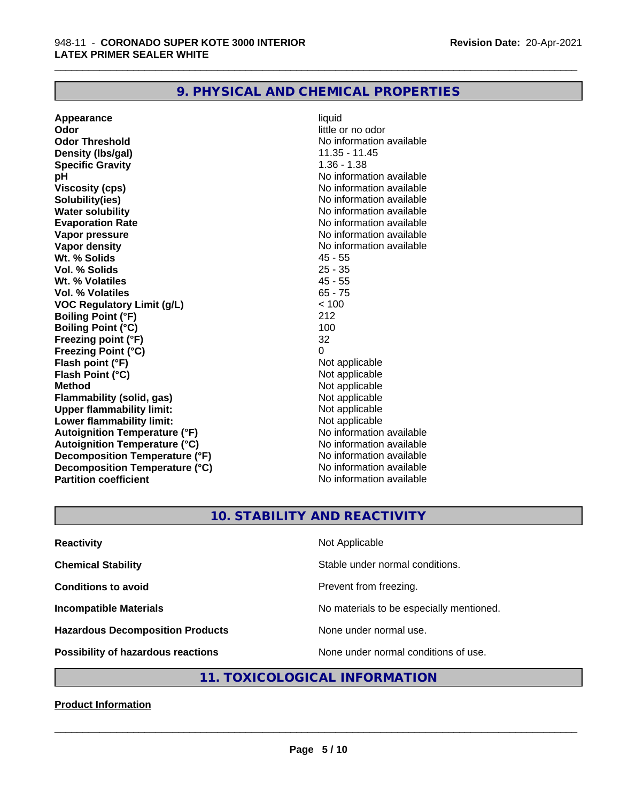## **9. PHYSICAL AND CHEMICAL PROPERTIES**

**Appearance** liquid **Odor** little or no odor **Odor Threshold No information available No information available Density (lbs/gal)** 11.35 - 11.45 **Specific Gravity** 1.36 - 1.38 **pH** No information available **Viscosity (cps)** No information available **Solubility(ies)** No information available **Water solubility**<br> **Evaporation Rate**<br> **Evaporation Rate**<br> **Evaporation Rate Vapor pressure** No information available **Vapor density**<br> **We Solids** Museum Museum Museum Museum AS - 55<br>
45 - 55 **Wt. % Solids 45 - 55 AM**<br> **Vol. % Solids** 25 - 35 AM **Vol. % Solids Wt. % Volatiles** 45 - 55 **Vol. % Volatiles** 65 - 75 **VOC Regulatory Limit (g/L)** < 100 **Boiling Point (°F)** 212 **Boiling Point (°C)** 100 **Freezing point (°F)** 32 **Freezing Point (°C)** 0 **Flash point (°F)**<br> **Flash Point (°C)**<br> **Flash Point (°C)**<br> **C Flash Point (°C) Method**<br> **Flammability (solid, gas)**<br> **Example 2018** Not applicable **Flammability** (solid, gas) **Upper flammability limit:**<br> **Lower flammability limit:**<br>
Not applicable<br>
Not applicable **Lower flammability limit:**<br> **Autoignition Temperature (°F)** Not applicable have not available **Autoignition Temperature (°F) Autoignition Temperature (°C)** No information available **Decomposition Temperature (°F)** No information available **Decomposition Temperature (°C)** No information available **Partition coefficient Contract Community No information available** 

**Evaporation Rate** No information available

\_\_\_\_\_\_\_\_\_\_\_\_\_\_\_\_\_\_\_\_\_\_\_\_\_\_\_\_\_\_\_\_\_\_\_\_\_\_\_\_\_\_\_\_\_\_\_\_\_\_\_\_\_\_\_\_\_\_\_\_\_\_\_\_\_\_\_\_\_\_\_\_\_\_\_\_\_\_\_\_\_\_\_\_\_\_\_\_\_\_\_\_\_

## **10. STABILITY AND REACTIVITY**

| <b>Reactivity</b>                         | Not Applicable                           |
|-------------------------------------------|------------------------------------------|
| <b>Chemical Stability</b>                 | Stable under normal conditions.          |
| <b>Conditions to avoid</b>                | Prevent from freezing.                   |
| <b>Incompatible Materials</b>             | No materials to be especially mentioned. |
| <b>Hazardous Decomposition Products</b>   | None under normal use.                   |
| <b>Possibility of hazardous reactions</b> | None under normal conditions of use.     |

### **11. TOXICOLOGICAL INFORMATION**

#### **Product Information**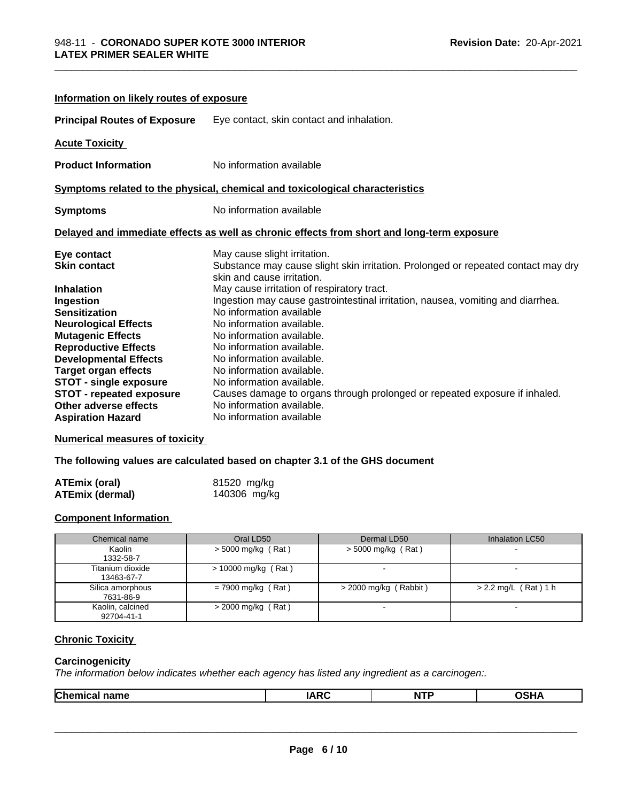| Information on likely routes of exposure |                                                                                                                 |
|------------------------------------------|-----------------------------------------------------------------------------------------------------------------|
| <b>Principal Routes of Exposure</b>      | Eye contact, skin contact and inhalation.                                                                       |
| <b>Acute Toxicity</b>                    |                                                                                                                 |
| <b>Product Information</b>               | No information available                                                                                        |
|                                          | Symptoms related to the physical, chemical and toxicological characteristics                                    |
| <b>Symptoms</b>                          | No information available                                                                                        |
|                                          | Delayed and immediate effects as well as chronic effects from short and long-term exposure                      |
| Eye contact                              | May cause slight irritation.                                                                                    |
| <b>Skin contact</b>                      | Substance may cause slight skin irritation. Prolonged or repeated contact may dry<br>skin and cause irritation. |
| <b>Inhalation</b>                        | May cause irritation of respiratory tract.                                                                      |
| Ingestion                                | Ingestion may cause gastrointestinal irritation, nausea, vomiting and diarrhea.                                 |
| <b>Sensitization</b>                     | No information available                                                                                        |
| <b>Neurological Effects</b>              | No information available.                                                                                       |
| <b>Mutagenic Effects</b>                 | No information available.                                                                                       |
| <b>Reproductive Effects</b>              | No information available.                                                                                       |
| <b>Developmental Effects</b>             | No information available.                                                                                       |
| <b>Target organ effects</b>              | No information available.                                                                                       |
| <b>STOT - single exposure</b>            | No information available.                                                                                       |
| <b>STOT - repeated exposure</b>          | Causes damage to organs through prolonged or repeated exposure if inhaled.                                      |
| Other adverse effects                    | No information available.                                                                                       |
| <b>Aspiration Hazard</b>                 | No information available                                                                                        |

#### **Numerical measures of toxicity**

**The following values are calculated based on chapter 3.1 of the GHS document**

| <b>ATEmix (oral)</b> | 81520 mg/kg  |
|----------------------|--------------|
| ATEmix (dermal)      | 140306 mg/kg |

### **Component Information**

| Chemical name                  | Oral LD50             | Dermal LD50              | Inhalation LC50        |
|--------------------------------|-----------------------|--------------------------|------------------------|
| Kaolin<br>1332-58-7            | $>$ 5000 mg/kg (Rat)  | $>$ 5000 mg/kg (Rat)     |                        |
| Titanium dioxide<br>13463-67-7 | $> 10000$ mg/kg (Rat) |                          |                        |
| Silica amorphous<br>7631-86-9  | $= 7900$ mg/kg (Rat)  | $>$ 2000 mg/kg (Rabbit)  | $> 2.2$ mg/L (Rat) 1 h |
| Kaolin, calcined<br>92704-41-1 | $>$ 2000 mg/kg (Rat)  | $\overline{\phantom{0}}$ |                        |

#### **Chronic Toxicity**

#### **Carcinogenicity**

*The information below indicateswhether each agency has listed any ingredient as a carcinogen:.*

| N I |
|-----|
|-----|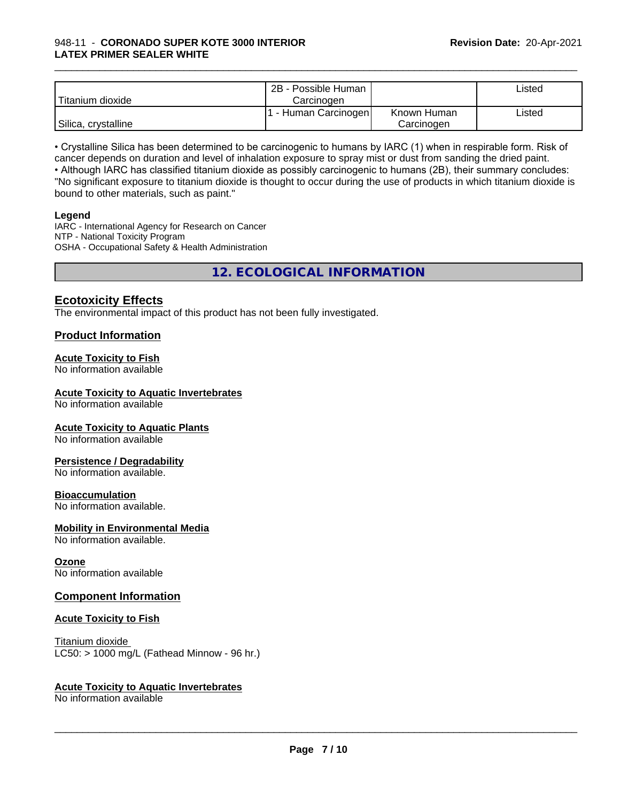|                     | 2B - Possible Human  |             | ∟isted |
|---------------------|----------------------|-------------|--------|
| Titanium dioxide    | Carcinoɑen           |             |        |
|                     | . - Human Carcinogen | Known Human | Listed |
| Silica, crystalline |                      | Carcinogen  |        |

• Crystalline Silica has been determined to be carcinogenic to humans by IARC (1) when in respirable form. Risk of cancer depends on duration and level of inhalation exposure to spray mist or dust from sanding the dried paint.• Although IARC has classified titanium dioxide as possibly carcinogenic to humans (2B), their summary concludes: "No significant exposure to titanium dioxide is thought to occur during the use of products in which titanium dioxide is bound to other materials, such as paint."

#### **Legend**

IARC - International Agency for Research on Cancer NTP - National Toxicity Program OSHA - Occupational Safety & Health Administration

**12. ECOLOGICAL INFORMATION**

### **Ecotoxicity Effects**

The environmental impact of this product has not been fully investigated.

#### **Product Information**

#### **Acute Toxicity to Fish**

No information available

#### **Acute Toxicity to Aquatic Invertebrates**

No information available

#### **Acute Toxicity to Aquatic Plants**

No information available

#### **Persistence / Degradability**

No information available.

#### **Bioaccumulation**

No information available.

#### **Mobility in Environmental Media**

No information available.

#### **Ozone**

No information available

#### **Component Information**

#### **Acute Toxicity to Fish**

Titanium dioxide  $LC50:$  > 1000 mg/L (Fathead Minnow - 96 hr.)

#### **Acute Toxicity to Aquatic Invertebrates**

No information available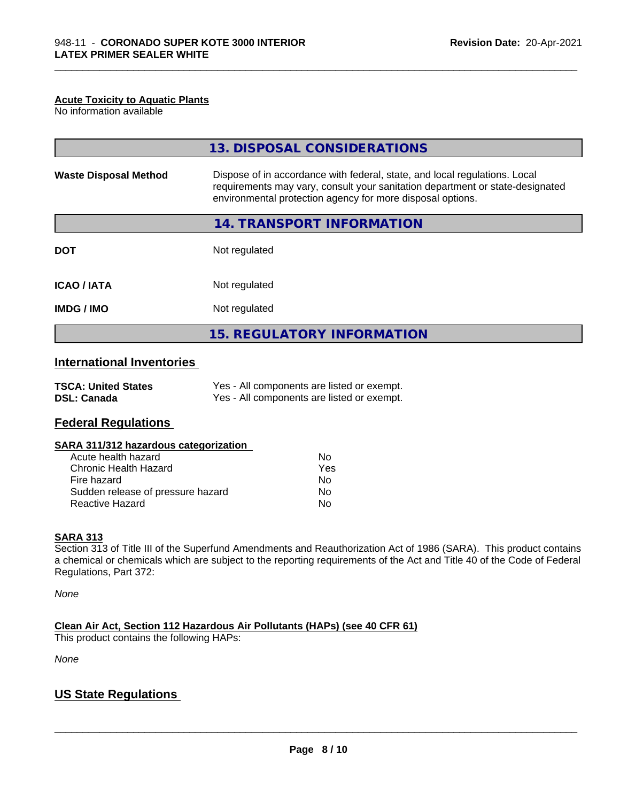#### **Acute Toxicity to Aquatic Plants**

No information available

|                              | 13. DISPOSAL CONSIDERATIONS                                                                                                                                                                                               |  |
|------------------------------|---------------------------------------------------------------------------------------------------------------------------------------------------------------------------------------------------------------------------|--|
| <b>Waste Disposal Method</b> | Dispose of in accordance with federal, state, and local regulations. Local<br>requirements may vary, consult your sanitation department or state-designated<br>environmental protection agency for more disposal options. |  |
|                              | 14. TRANSPORT INFORMATION                                                                                                                                                                                                 |  |
| <b>DOT</b>                   | Not regulated                                                                                                                                                                                                             |  |
| <b>ICAO/IATA</b>             | Not regulated                                                                                                                                                                                                             |  |
| <b>IMDG/IMO</b>              | Not regulated                                                                                                                                                                                                             |  |
|                              | <b>15. REGULATORY INFORMATION</b>                                                                                                                                                                                         |  |

\_\_\_\_\_\_\_\_\_\_\_\_\_\_\_\_\_\_\_\_\_\_\_\_\_\_\_\_\_\_\_\_\_\_\_\_\_\_\_\_\_\_\_\_\_\_\_\_\_\_\_\_\_\_\_\_\_\_\_\_\_\_\_\_\_\_\_\_\_\_\_\_\_\_\_\_\_\_\_\_\_\_\_\_\_\_\_\_\_\_\_\_\_

### **International Inventories**

| <b>TSCA: United States</b> | Yes - All components are listed or exempt. |
|----------------------------|--------------------------------------------|
| <b>DSL: Canada</b>         | Yes - All components are listed or exempt. |

### **Federal Regulations**

#### **SARA 311/312 hazardous categorization**

| Acute health hazard               | Nο  |
|-----------------------------------|-----|
| Chronic Health Hazard             | Yes |
| Fire hazard                       | Nο  |
| Sudden release of pressure hazard | Nο  |
| Reactive Hazard                   | N٥  |

#### **SARA 313**

Section 313 of Title III of the Superfund Amendments and Reauthorization Act of 1986 (SARA). This product contains a chemical or chemicals which are subject to the reporting requirements of the Act and Title 40 of the Code of Federal Regulations, Part 372:

*None*

**Clean Air Act,Section 112 Hazardous Air Pollutants (HAPs) (see 40 CFR 61)**

This product contains the following HAPs:

*None*

## **US State Regulations**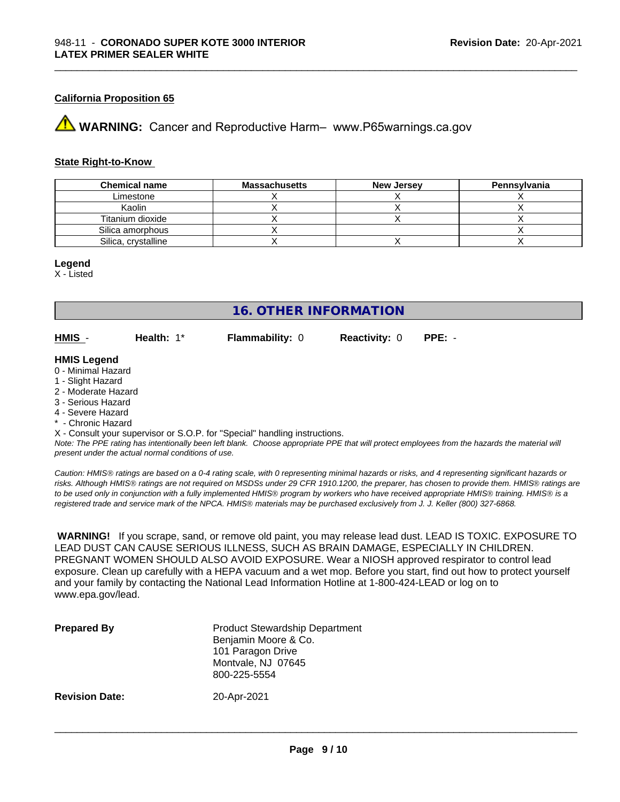#### **California Proposition 65**

**AVIMARNING:** Cancer and Reproductive Harm– www.P65warnings.ca.gov

#### **State Right-to-Know**

| <b>Chemical name</b> | <b>Massachusetts</b> | <b>New Jersey</b> | <b>Pennsylvania</b> |
|----------------------|----------------------|-------------------|---------------------|
| Limestone            |                      |                   |                     |
| Kaolin               |                      |                   |                     |
| Titanium dioxide     |                      |                   |                     |
| Silica amorphous     |                      |                   |                     |
| Silica, crystalline  |                      |                   |                     |

#### **Legend**

X - Listed

## **16. OTHER INFORMATION**

**HMIS** - **Health:** 1\* **Flammability:** 0 **Reactivity:** 0 **PPE:** -

\_\_\_\_\_\_\_\_\_\_\_\_\_\_\_\_\_\_\_\_\_\_\_\_\_\_\_\_\_\_\_\_\_\_\_\_\_\_\_\_\_\_\_\_\_\_\_\_\_\_\_\_\_\_\_\_\_\_\_\_\_\_\_\_\_\_\_\_\_\_\_\_\_\_\_\_\_\_\_\_\_\_\_\_\_\_\_\_\_\_\_\_\_

#### **HMIS Legend**

- 0 Minimal Hazard
- 1 Slight Hazard
- 2 Moderate Hazard
- 3 Serious Hazard
- 4 Severe Hazard
- \* Chronic Hazard

X - Consult your supervisor or S.O.P. for "Special" handling instructions.

*Note: The PPE rating has intentionally been left blank. Choose appropriate PPE that will protect employees from the hazards the material will present under the actual normal conditions of use.*

*Caution: HMISÒ ratings are based on a 0-4 rating scale, with 0 representing minimal hazards or risks, and 4 representing significant hazards or risks. Although HMISÒ ratings are not required on MSDSs under 29 CFR 1910.1200, the preparer, has chosen to provide them. HMISÒ ratings are to be used only in conjunction with a fully implemented HMISÒ program by workers who have received appropriate HMISÒ training. HMISÒ is a registered trade and service mark of the NPCA. HMISÒ materials may be purchased exclusively from J. J. Keller (800) 327-6868.*

 **WARNING!** If you scrape, sand, or remove old paint, you may release lead dust. LEAD IS TOXIC. EXPOSURE TO LEAD DUST CAN CAUSE SERIOUS ILLNESS, SUCH AS BRAIN DAMAGE, ESPECIALLY IN CHILDREN. PREGNANT WOMEN SHOULD ALSO AVOID EXPOSURE.Wear a NIOSH approved respirator to control lead exposure. Clean up carefully with a HEPA vacuum and a wet mop. Before you start, find out how to protect yourself and your family by contacting the National Lead Information Hotline at 1-800-424-LEAD or log on to www.epa.gov/lead.

| <b>Prepared By</b>    | <b>Product Stewardship Department</b><br>Benjamin Moore & Co.<br>101 Paragon Drive<br>Montvale, NJ 07645<br>800-225-5554 |
|-----------------------|--------------------------------------------------------------------------------------------------------------------------|
| <b>Revision Date:</b> | 20-Apr-2021                                                                                                              |